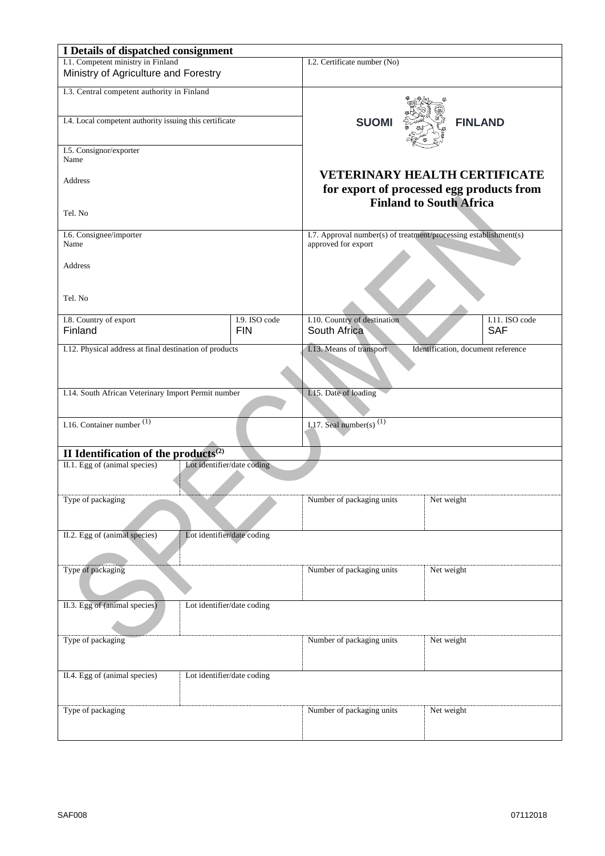| I Details of dispatched consignment                         |                                                     |                                                                  |                                      |  |
|-------------------------------------------------------------|-----------------------------------------------------|------------------------------------------------------------------|--------------------------------------|--|
| I.1. Competent ministry in Finland                          |                                                     | I.2. Certificate number (No)                                     |                                      |  |
| Ministry of Agriculture and Forestry                        |                                                     |                                                                  |                                      |  |
| I.3. Central competent authority in Finland                 |                                                     |                                                                  |                                      |  |
|                                                             |                                                     |                                                                  |                                      |  |
| I.4. Local competent authority issuing this certificate     |                                                     |                                                                  |                                      |  |
|                                                             |                                                     | <b>SUOM</b>                                                      | <b>FINLAND</b>                       |  |
|                                                             |                                                     |                                                                  |                                      |  |
| I.5. Consignor/exporter                                     |                                                     |                                                                  |                                      |  |
| Name                                                        |                                                     |                                                                  |                                      |  |
|                                                             |                                                     |                                                                  | <b>VETERINARY HEALTH CERTIFICATE</b> |  |
| Address                                                     |                                                     | for export of processed egg products from                        |                                      |  |
|                                                             |                                                     |                                                                  | <b>Finland to South Africa</b>       |  |
| Tel. No                                                     |                                                     |                                                                  |                                      |  |
|                                                             |                                                     |                                                                  |                                      |  |
| I.6. Consignee/importer                                     |                                                     | I.7. Approval number(s) of treatment/processing establishment(s) |                                      |  |
| Name                                                        |                                                     | approved for export                                              |                                      |  |
|                                                             |                                                     |                                                                  |                                      |  |
| Address                                                     |                                                     |                                                                  |                                      |  |
|                                                             |                                                     |                                                                  |                                      |  |
| Tel. No                                                     |                                                     |                                                                  |                                      |  |
|                                                             |                                                     |                                                                  |                                      |  |
| I.8. Country of export                                      | I.9. ISO code                                       | I.10. Country of destination                                     | I.11. ISO code                       |  |
| Finland                                                     | <b>FIN</b>                                          | South Africa                                                     | <b>SAF</b>                           |  |
|                                                             |                                                     |                                                                  |                                      |  |
| I.12. Physical address at final destination of products     |                                                     | I.13. Means of transport<br>Identification, document reference   |                                      |  |
|                                                             |                                                     |                                                                  |                                      |  |
|                                                             |                                                     |                                                                  |                                      |  |
|                                                             | I.14. South African Veterinary Import Permit number |                                                                  | I.15. Date of loading                |  |
|                                                             |                                                     |                                                                  |                                      |  |
|                                                             |                                                     |                                                                  |                                      |  |
| I.16. Container number $(1)$                                |                                                     | I.17. Seal number(s) $(1)$                                       |                                      |  |
|                                                             |                                                     |                                                                  |                                      |  |
| II Identification of the products $^{(2)}$                  |                                                     |                                                                  |                                      |  |
| Lot identifier/date coding<br>II.1. Egg of (animal species) |                                                     |                                                                  |                                      |  |
|                                                             |                                                     |                                                                  |                                      |  |
|                                                             |                                                     |                                                                  |                                      |  |
| Type of packaging                                           |                                                     | Number of packaging units                                        | Net weight                           |  |
|                                                             |                                                     |                                                                  |                                      |  |
|                                                             |                                                     |                                                                  |                                      |  |
| II.2. Egg of (animal species)                               | Lot identifier/date coding                          |                                                                  |                                      |  |
|                                                             |                                                     |                                                                  |                                      |  |
|                                                             |                                                     |                                                                  |                                      |  |
| Type of packaging                                           |                                                     | Number of packaging units                                        | Net weight                           |  |
|                                                             |                                                     |                                                                  |                                      |  |
|                                                             |                                                     |                                                                  |                                      |  |
| II.3. Egg of (animal species)                               | Lot identifier/date coding                          |                                                                  |                                      |  |
|                                                             |                                                     |                                                                  |                                      |  |
|                                                             |                                                     |                                                                  |                                      |  |
| Type of packaging                                           |                                                     | Number of packaging units                                        | Net weight                           |  |
|                                                             |                                                     |                                                                  |                                      |  |
|                                                             |                                                     |                                                                  |                                      |  |
| II.4. Egg of (animal species)                               | Lot identifier/date coding                          |                                                                  |                                      |  |
|                                                             |                                                     |                                                                  |                                      |  |
|                                                             |                                                     |                                                                  |                                      |  |
| Type of packaging                                           |                                                     | Number of packaging units                                        | Net weight                           |  |
|                                                             |                                                     |                                                                  |                                      |  |
|                                                             |                                                     |                                                                  |                                      |  |